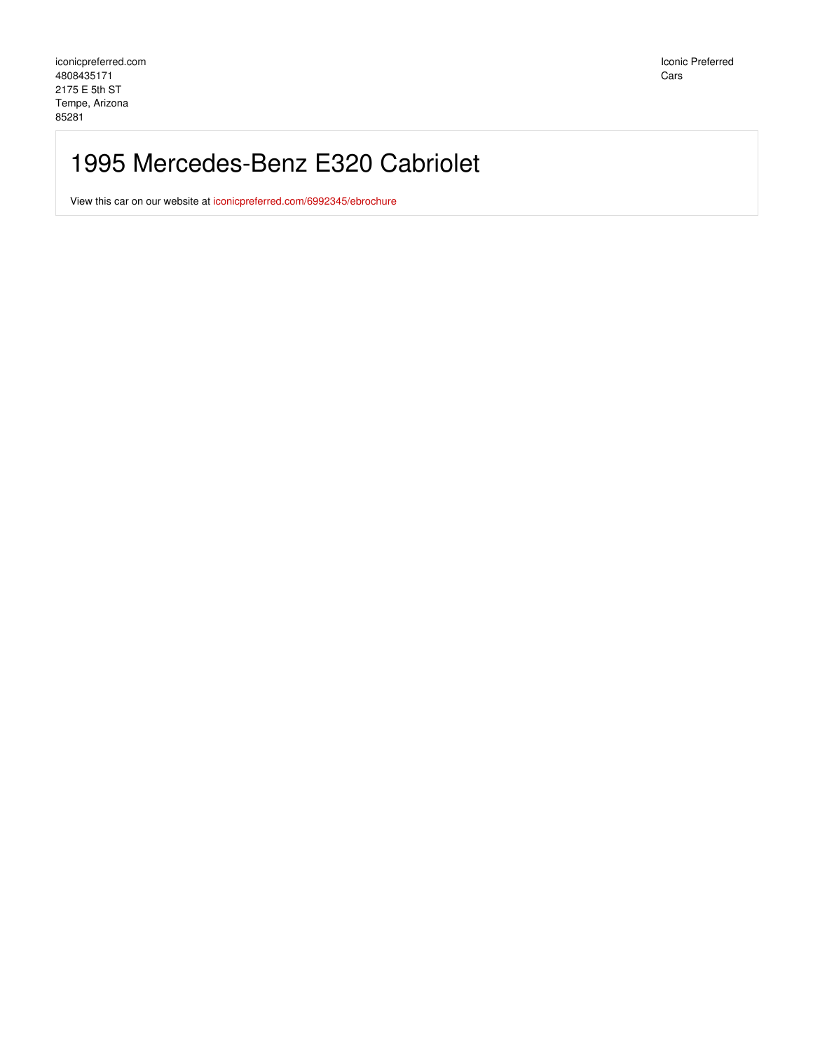Iconic Preferred Cars

## 1995 Mercedes-Benz E320 Cabriolet

View this car on our website at [iconicpreferred.com/6992345/ebrochure](https://iconicpreferred.com/vehicle/6992345/1995-mercedes-benz-e320-cabriolet-tempe-arizona-85281/6992345/ebrochure)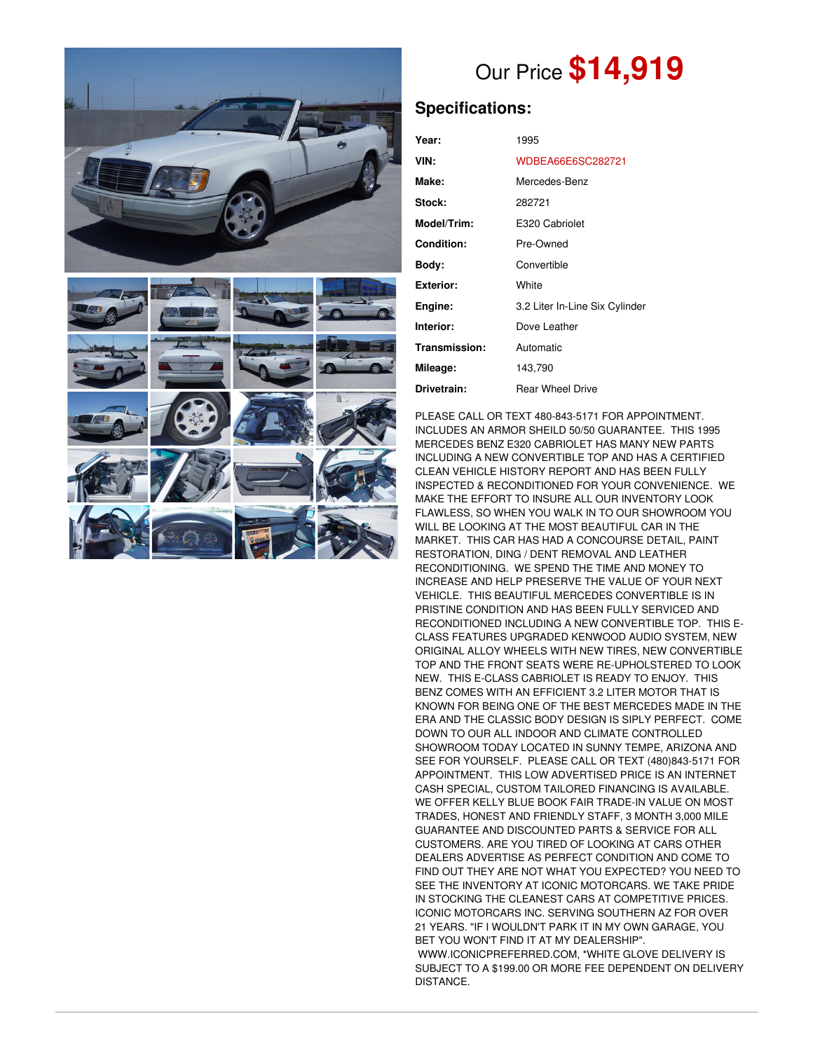



## Our Price **\$14,919**

## **Specifications:**

| Year:             | 1995                           |
|-------------------|--------------------------------|
| VIN:              | WDBEA66E6SC282721              |
| Make:             | Mercedes-Benz                  |
| Stock:            | 282721                         |
| Model/Trim:       | E320 Cabriolet                 |
| <b>Condition:</b> | Pre-Owned                      |
| Body:             | Convertible                    |
| <b>Exterior:</b>  | White                          |
| Engine:           | 3.2 Liter In-Line Six Cylinder |
| Interior:         | Dove Leather                   |
| Transmission:     | Automatic                      |
| Mileage:          | 143,790                        |
| Drivetrain:       | <b>Rear Wheel Drive</b>        |

PLEASE CALL OR TEXT 480-843-5171 FOR APPOINTMENT. INCLUDES AN ARMOR SHEILD 50/50 GUARANTEE. THIS 1995 MERCEDES BENZ E320 CABRIOLET HAS MANY NEW PARTS INCLUDING A NEW CONVERTIBLE TOP AND HAS A CERTIFIED CLEAN VEHICLE HISTORY REPORT AND HAS BEEN FULLY INSPECTED & RECONDITIONED FOR YOUR CONVENIENCE. WE MAKE THE EFFORT TO INSURE ALL OUR INVENTORY LOOK FLAWLESS, SO WHEN YOU WALK IN TO OUR SHOWROOM YOU WILL BE LOOKING AT THE MOST BEAUTIFUL CAR IN THE MARKET. THIS CAR HAS HAD A CONCOURSE DETAIL, PAINT RESTORATION, DING / DENT REMOVAL AND LEATHER RECONDITIONING. WE SPEND THE TIME AND MONEY TO INCREASE AND HELP PRESERVE THE VALUE OF YOUR NEXT VEHICLE. THIS BEAUTIFUL MERCEDES CONVERTIBLE IS IN PRISTINE CONDITION AND HAS BEEN FULLY SERVICED AND RECONDITIONED INCLUDING A NEW CONVERTIBLE TOP. THIS E-CLASS FEATURES UPGRADED KENWOOD AUDIO SYSTEM, NEW ORIGINAL ALLOY WHEELS WITH NEW TIRES, NEW CONVERTIBLE TOP AND THE FRONT SEATS WERE RE-UPHOLSTERED TO LOOK NEW. THIS E-CLASS CABRIOLET IS READY TO ENJOY. THIS BENZ COMES WITH AN EFFICIENT 3.2 LITER MOTOR THAT IS KNOWN FOR BEING ONE OF THE BEST MERCEDES MADE IN THE ERA AND THE CLASSIC BODY DESIGN IS SIPLY PERFECT. COME DOWN TO OUR ALL INDOOR AND CLIMATE CONTROLLED SHOWROOM TODAY LOCATED IN SUNNY TEMPE, ARIZONA AND SEE FOR YOURSELF. PLEASE CALL OR TEXT (480)843-5171 FOR APPOINTMENT. THIS LOW ADVERTISED PRICE IS AN INTERNET CASH SPECIAL, CUSTOM TAILORED FINANCING IS AVAILABLE. WE OFFER KELLY BLUE BOOK FAIR TRADE-IN VALUE ON MOST TRADES, HONEST AND FRIENDLY STAFF, 3 MONTH 3,000 MILE GUARANTEE AND DISCOUNTED PARTS & SERVICE FOR ALL CUSTOMERS. ARE YOU TIRED OF LOOKING AT CARS OTHER DEALERS ADVERTISE AS PERFECT CONDITION AND COME TO FIND OUT THEY ARE NOT WHAT YOU EXPECTED? YOU NEED TO SEE THE INVENTORY AT ICONIC MOTORCARS. WE TAKE PRIDE IN STOCKING THE CLEANEST CARS AT COMPETITIVE PRICES. ICONIC MOTORCARS INC. SERVING SOUTHERN AZ FOR OVER 21 YEARS. "IF I WOULDN'T PARK IT IN MY OWN GARAGE, YOU BET YOU WON'T FIND IT AT MY DEALERSHIP". WWW.ICONICPREFERRED.COM, \*WHITE GLOVE DELIVERY IS SUBJECT TO A \$199.00 OR MORE FEE DEPENDENT ON DELIVERY DISTANCE.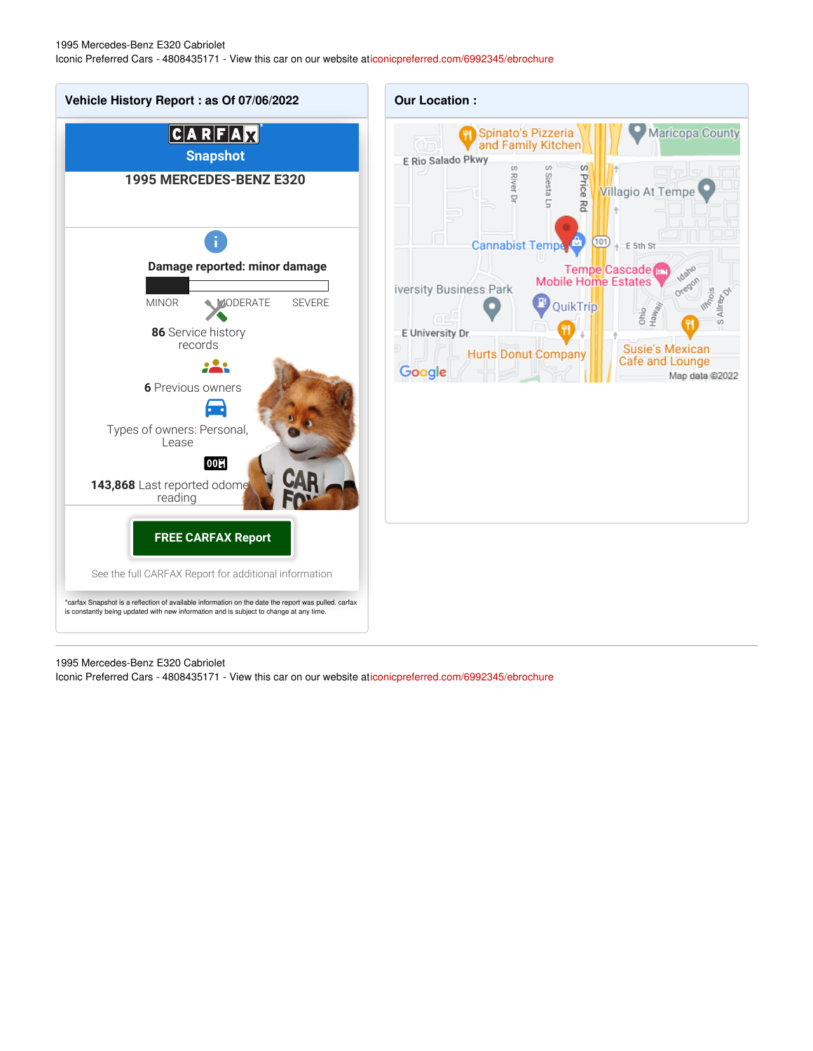1995 Mercedes-Benz E320 Cabriolet Iconic Preferred Cars - 4808435171 - View this car on our website a[ticonicpreferred.com/6992345/ebrochure](https://iconicpreferred.com/vehicle/6992345/1995-mercedes-benz-e320-cabriolet-tempe-arizona-85281/6992345/ebrochure)



1995 Mercedes-Benz E320 Cabriolet Iconic Preferred Cars - 4808435171 - View this car on our website a[ticonicpreferred.com/6992345/ebrochure](https://iconicpreferred.com/vehicle/6992345/1995-mercedes-benz-e320-cabriolet-tempe-arizona-85281/6992345/ebrochure)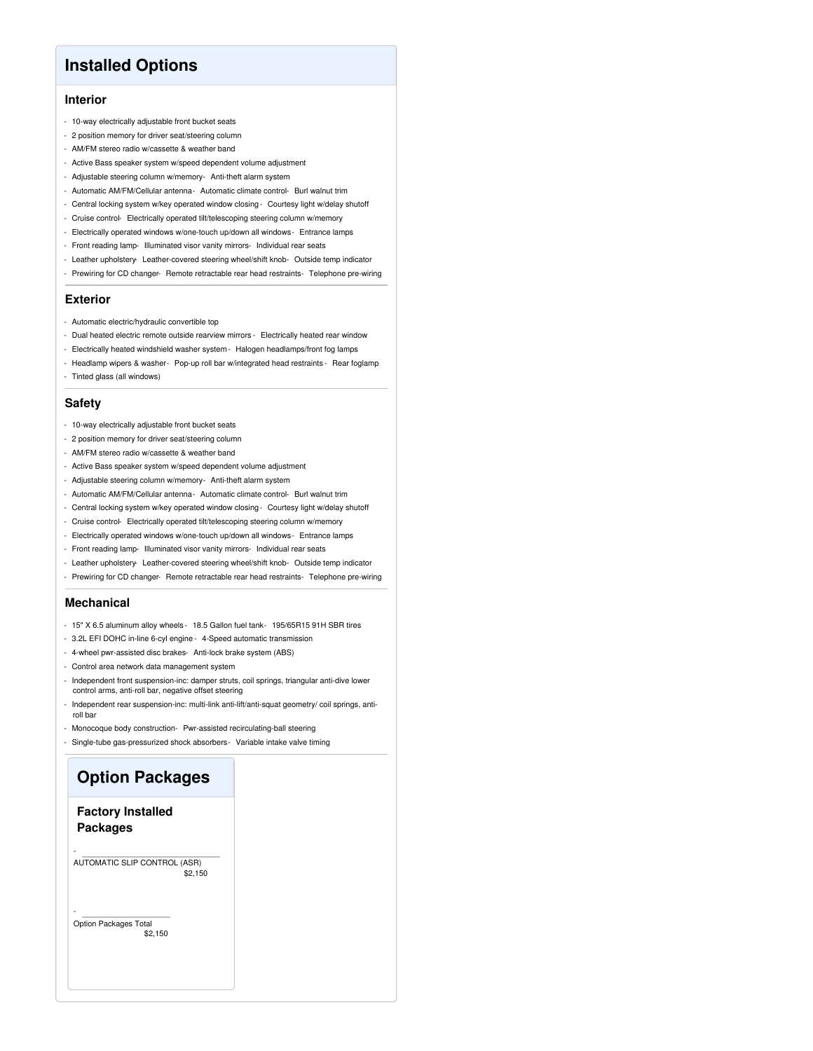### **Installed Options**

#### **Interior**

- 10-way electrically adjustable front bucket seats
- 2 position memory for driver seat/steering column
- AM/FM stereo radio w/cassette & weather band
- Active Bass speaker system w/speed dependent volume adjustment
- Adjustable steering column w/memory- Anti-theft alarm system
- Automatic AM/FM/Cellular antenna- Automatic climate control- Burl walnut trim
- Central locking system w/key operated window closing- Courtesy light w/delay shutoff
- Cruise control- Electrically operated tilt/telescoping steering column w/memory
- Electrically operated windows w/one-touch up/down all windows- Entrance lamps
- Front reading lamp- Illuminated visor vanity mirrors- Individual rear seats
- Leather upholstery-Leather-covered steering wheel/shift knob- Outside temp indicator
- Prewiring for CD changer- Remote retractable rear head restraints- Telephone pre-wiring

#### **Exterior**

- Automatic electric/hydraulic convertible top
- Dual heated electric remote outside rearview mirrors Electrically heated rear window
- Electrically heated windshield washer system- Halogen headlamps/front fog lamps
- Headlamp wipers & washer- Pop-up roll bar w/integrated head restraints Rear foglamp - Tinted glass (all windows)

#### **Safety**

- 10-way electrically adjustable front bucket seats
- 2 position memory for driver seat/steering column
- AM/FM stereo radio w/cassette & weather band
- Active Bass speaker system w/speed dependent volume adjustment
- Adjustable steering column w/memory- Anti-theft alarm system
- Automatic AM/FM/Cellular antenna- Automatic climate control- Burl walnut trim
- Central locking system w/key operated window closing- Courtesy light w/delay shutoff
- Cruise control- Electrically operated tilt/telescoping steering column w/memory
- Electrically operated windows w/one-touch up/down all windows- Entrance lamps
- Front reading lamp- Illuminated visor vanity mirrors- Individual rear seats
- Leather upholstery- Leather-covered steering wheel/shift knob- Outside temp indicator
- Prewiring for CD changer- Remote retractable rear head restraints- Telephone pre-wiring

#### **Mechanical**

- 15" X 6.5 aluminum alloy wheels 18.5 Gallon fuel tank- 195/65R15 91H SBR tires
- 3.2L EFI DOHC in-line 6-cyl engine 4-Speed automatic transmission
- 4-wheel pwr-assisted disc brakes- Anti-lock brake system (ABS)
- Control area network data management system
- Independent front suspension-inc: damper struts, coil springs, triangular anti-dive lower control arms, anti-roll bar, negative offset steering
- Independent rear suspension-inc: multi-link anti-lift/anti-squat geometry/ coil springs, antiroll bar
- Monocoque body construction- Pwr-assisted recirculating-ball steering
- Single-tube gas-pressurized shock absorbers- Variable intake valve timing

# **Option Packages**

### **Factory Installed Packages**

-

-

\$2,150 AUTOMATIC SLIP CONTROL (ASR)

\$2,150 Option Packages Total